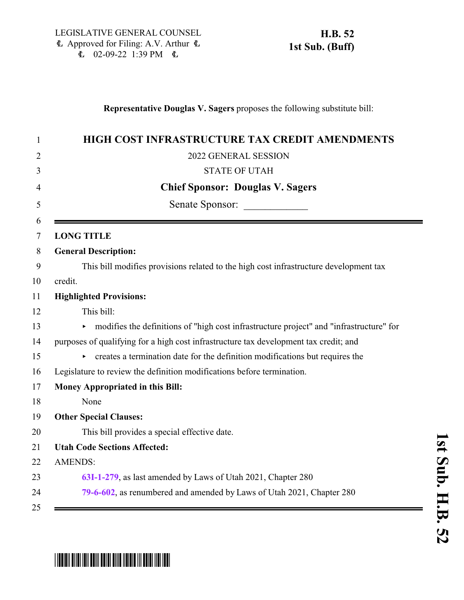#### **Representative Douglas V. Sagers** proposes the following substitute bill:

| HIGH COST INFRASTRUCTURE TAX CREDIT AMENDMENTS                                          |
|-----------------------------------------------------------------------------------------|
| 2022 GENERAL SESSION                                                                    |
| <b>STATE OF UTAH</b>                                                                    |
| <b>Chief Sponsor: Douglas V. Sagers</b>                                                 |
| Senate Sponsor:                                                                         |
| <b>LONG TITLE</b>                                                                       |
| <b>General Description:</b>                                                             |
| This bill modifies provisions related to the high cost infrastructure development tax   |
| credit.                                                                                 |
| <b>Highlighted Provisions:</b>                                                          |
| This bill:                                                                              |
| modifies the definitions of "high cost infrastructure project" and "infrastructure" for |
| purposes of qualifying for a high cost infrastructure tax development tax credit; and   |
| creates a termination date for the definition modifications but requires the            |
| Legislature to review the definition modifications before termination.                  |
| <b>Money Appropriated in this Bill:</b>                                                 |
| None                                                                                    |
| <b>Other Special Clauses:</b>                                                           |
| This bill provides a special effective date.                                            |
| <b>Utah Code Sections Affected:</b>                                                     |
| <b>AMENDS:</b>                                                                          |
| 63I-1-279, as last amended by Laws of Utah 2021, Chapter 280                            |
| 79-6-602, as renumbered and amended by Laws of Utah 2021, Chapter 280                   |

## **s t S u b. H.B.**

# \*HB0052S01\*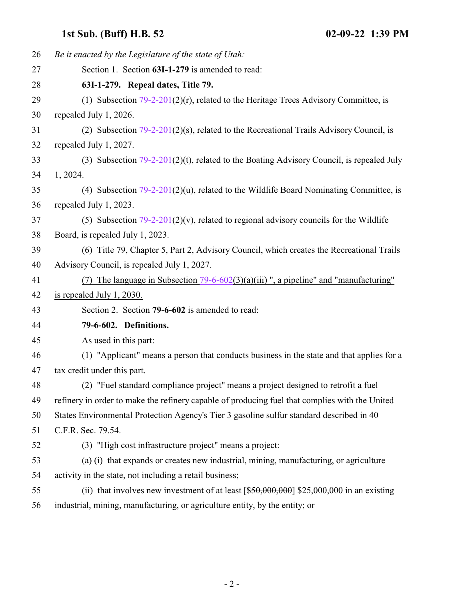### <span id="page-1-0"></span>**1st Sub. (Buff) H.B. 52 02-09-22 1:39 PM**

<span id="page-1-1"></span>

| 26 | Be it enacted by the Legislature of the state of Utah:                                         |
|----|------------------------------------------------------------------------------------------------|
| 27 | Section 1. Section 63I-1-279 is amended to read:                                               |
| 28 | 63I-1-279. Repeal dates, Title 79.                                                             |
| 29 | (1) Subsection $79-2-201(2)(r)$ , related to the Heritage Trees Advisory Committee, is         |
| 30 | repealed July 1, 2026.                                                                         |
| 31 | (2) Subsection $79-2-201(2)(s)$ , related to the Recreational Trails Advisory Council, is      |
| 32 | repealed July 1, 2027.                                                                         |
| 33 | (3) Subsection $79-2-201(2)(t)$ , related to the Boating Advisory Council, is repealed July    |
| 34 | 1, 2024.                                                                                       |
| 35 | (4) Subsection $79-2-201(2)(u)$ , related to the Wildlife Board Nominating Committee, is       |
| 36 | repealed July 1, 2023.                                                                         |
| 37 | (5) Subsection $79-2-201(2)(v)$ , related to regional advisory councils for the Wildlife       |
| 38 | Board, is repealed July 1, 2023.                                                               |
| 39 | (6) Title 79, Chapter 5, Part 2, Advisory Council, which creates the Recreational Trails       |
| 40 | Advisory Council, is repealed July 1, 2027.                                                    |
| 41 | (7) The language in Subsection $79-6-602(3)(a)(iii)$ , a pipeline" and "manufacturing"         |
| 42 | is repealed July 1, 2030.                                                                      |
| 43 | Section 2. Section 79-6-602 is amended to read:                                                |
| 44 | 79-6-602. Definitions.                                                                         |
| 45 | As used in this part:                                                                          |
| 46 | (1) "Applicant" means a person that conducts business in the state and that applies for a      |
| 47 | tax credit under this part.                                                                    |
| 48 | (2) "Fuel standard compliance project" means a project designed to retrofit a fuel             |
| 49 | refinery in order to make the refinery capable of producing fuel that complies with the United |
| 50 | States Environmental Protection Agency's Tier 3 gasoline sulfur standard described in 40       |
| 51 | C.F.R. Sec. 79.54.                                                                             |
| 52 | (3) "High cost infrastructure project" means a project:                                        |
| 53 | (a) (i) that expands or creates new industrial, mining, manufacturing, or agriculture          |
| 54 | activity in the state, not including a retail business;                                        |
| 55 | (ii) that involves new investment of at least $[$50,000,000]$ \$25,000,000 in an existing      |
| 56 | industrial, mining, manufacturing, or agriculture entity, by the entity; or                    |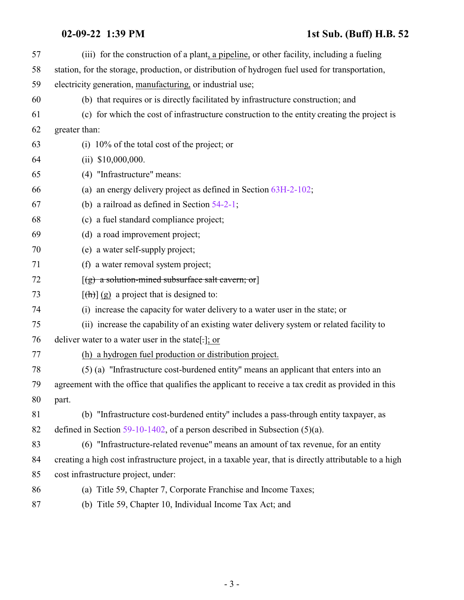#### **02-09-22 1:39 PM 1st Sub. (Buff) H.B. 52**

| 57 | (iii) for the construction of a plant, a pipeline, or other facility, including a fueling               |
|----|---------------------------------------------------------------------------------------------------------|
| 58 | station, for the storage, production, or distribution of hydrogen fuel used for transportation,         |
| 59 | electricity generation, manufacturing, or industrial use;                                               |
| 60 | (b) that requires or is directly facilitated by infrastructure construction; and                        |
| 61 | (c) for which the cost of infrastructure construction to the entity creating the project is             |
| 62 | greater than:                                                                                           |
| 63 | (i) $10\%$ of the total cost of the project; or                                                         |
| 64 | $(ii)$ \$10,000,000.                                                                                    |
| 65 | (4) "Infrastructure" means:                                                                             |
| 66 | (a) an energy delivery project as defined in Section $63H-2-102$ ;                                      |
| 67 | (b) a railroad as defined in Section $54-2-1$ ;                                                         |
| 68 | (c) a fuel standard compliance project;                                                                 |
| 69 | (d) a road improvement project;                                                                         |
| 70 | (e) a water self-supply project;                                                                        |
| 71 | (f) a water removal system project;                                                                     |
| 72 | $[(g)$ a solution-mined subsurface salt cavern; or                                                      |
| 73 | $[\frac{h}{\hbar}](g)$ a project that is designed to:                                                   |
| 74 | (i) increase the capacity for water delivery to a water user in the state; or                           |
| 75 | (ii) increase the capability of an existing water delivery system or related facility to                |
| 76 | deliver water to a water user in the state[ $\cdot$ ]; or                                               |
| 77 | (h) a hydrogen fuel production or distribution project.                                                 |
| 78 | (5) (a) "Infrastructure cost-burdened entity" means an applicant that enters into an                    |
| 79 | agreement with the office that qualifies the applicant to receive a tax credit as provided in this      |
| 80 | part.                                                                                                   |
| 81 | (b) "Infrastructure cost-burdened entity" includes a pass-through entity taxpayer, as                   |
| 82 | defined in Section $59-10-1402$ , of a person described in Subsection (5)(a).                           |
| 83 | (6) "Infrastructure-related revenue" means an amount of tax revenue, for an entity                      |
| 84 | creating a high cost infrastructure project, in a taxable year, that is directly attributable to a high |
| 85 | cost infrastructure project, under:                                                                     |
| 86 | (a) Title 59, Chapter 7, Corporate Franchise and Income Taxes;                                          |
| 87 | (b) Title 59, Chapter 10, Individual Income Tax Act; and                                                |